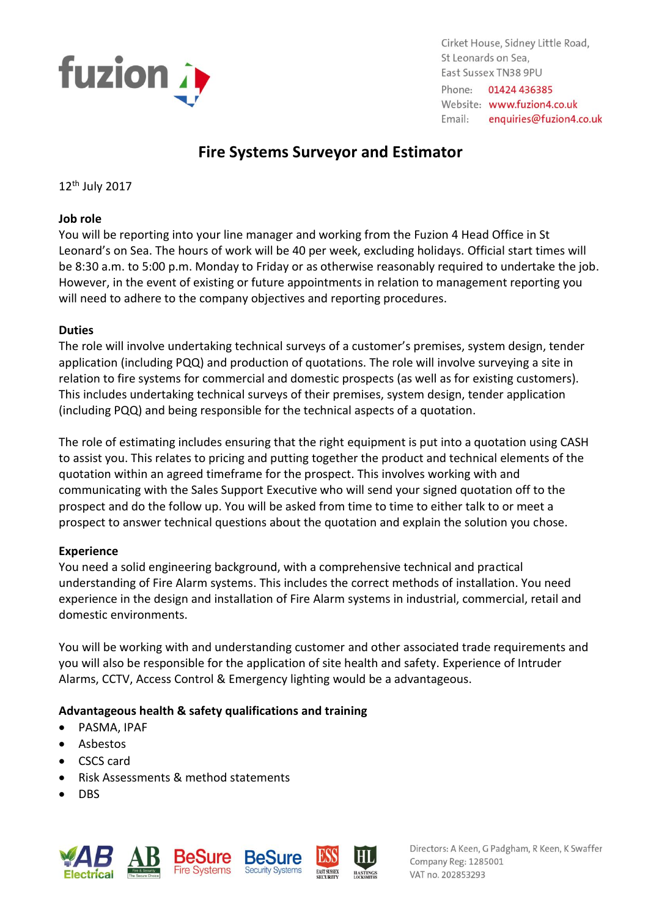

Cirket House, Sidney Little Road, St Leonards on Sea. East Sussex TN38 9PU Phone: 01424 436385 Website: www.fuzion4.co.uk Email: enquiries@fuzion4.co.uk

# **Fire Systems Surveyor and Estimator**

12th July 2017

#### **Job role**

You will be reporting into your line manager and working from the Fuzion 4 Head Office in St Leonard's on Sea. The hours of work will be 40 per week, excluding holidays. Official start times will be 8:30 a.m. to 5:00 p.m. Monday to Friday or as otherwise reasonably required to undertake the job. However, in the event of existing or future appointments in relation to management reporting you will need to adhere to the company objectives and reporting procedures.

## **Duties**

The role will involve undertaking technical surveys of a customer's premises, system design, tender application (including PQQ) and production of quotations. The role will involve surveying a site in relation to fire systems for commercial and domestic prospects (as well as for existing customers). This includes undertaking technical surveys of their premises, system design, tender application (including PQQ) and being responsible for the technical aspects of a quotation.

The role of estimating includes ensuring that the right equipment is put into a quotation using CASH to assist you. This relates to pricing and putting together the product and technical elements of the quotation within an agreed timeframe for the prospect. This involves working with and communicating with the Sales Support Executive who will send your signed quotation off to the prospect and do the follow up. You will be asked from time to time to either talk to or meet a prospect to answer technical questions about the quotation and explain the solution you chose.

# **Experience**

You need a solid engineering background, with a comprehensive technical and practical understanding of Fire Alarm systems. This includes the correct methods of installation. You need experience in the design and installation of Fire Alarm systems in industrial, commercial, retail and domestic environments.

You will be working with and understanding customer and other associated trade requirements and you will also be responsible for the application of site health and safety. Experience of Intruder Alarms, CCTV, Access Control & Emergency lighting would be a advantageous.

# **Advantageous health & safety qualifications and training**

- PASMA, IPAF
- Asbestos
- CSCS card
- Risk Assessments & method statements
- DBS



Directors: A Keen, G Padgham, R Keen, K Swaffer Company Reg: 1285001 VAT no. 202853293